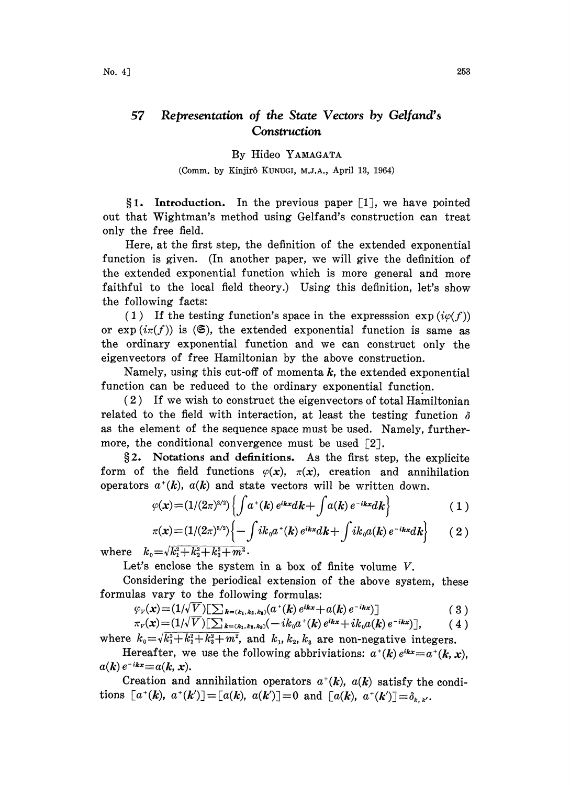## 57 Representation of the State Vectors by Gelfand's Construction

## By Hideo YAMAGATA

## (Comm. by Kinjirô KUNUGI, M.J.A., April 13, 1964)

 $§1.$  Introduction. In the previous paper [1], we have pointed out that Wightman's method using Gelfand's construction can treat only the free field.

Here, at the first step, the definition of the extended exponential function is given. (In another paper, we will give the definition of the extended exponential function which is more general and more faithful to the local field theory.) Using this definition, let's show the following facts:

(1) If the testing function's space in the expresssion  $\exp(i\varphi(f))$ or  $\exp(i\pi(f))$  is  $(\mathfrak{S})$ , the extended exponential function is same as the ordinary exponential function and we can construct only the eigenvectors of free Hamiltonian by the above construction.

Namely, using this cut-off of momenta  $k$ , the extended exponential function can be reduced to the ordinary exponential function.

 $(2)$  If we wish to construct the eigenvectors of total Hamiltonian related to the field with interaction, at least the testing function  $\delta$ as the element of the sequence space must be used. Namely, furthermore, the conditional convergence must be used [2].

2. Notations and definitions. As the first step, the explicite form of the field functions  $\varphi(x)$ ,  $\pi(x)$ , creation and annihilation operators  $a^+(k)$ ,  $a(k)$  and state vectors will be written down.

$$
\varphi(\mathbf{x}) = (1/(2\pi)^{3/2}) \left\{ \int a^+(k) e^{ikx} dk + \int a(k) e^{-ikx} dk \right\} \tag{1}
$$

$$
\pi(x) = (1/(2\pi)^{3/2}) \left\{ -\int i k_0 a^+(k) e^{ikx} dk + \int i k_0 a(k) e^{-ikx} dk \right\} \qquad (2)
$$

where  $k_0=\sqrt{k_1^2+k_2^2+k_3^2+m^2}$ .

Let's enclose the system in a box of finite volume V.

Considering the periodical extension of the above system, these formulas vary to the following formulas:

$$
\varphi_{v}(x) = (1/\sqrt{V}) \left[ \sum_{k = (k_1, k_2, k_3)} (a^{+}(k) e^{ikx} + a(k) e^{-ikx}) \right]
$$
 (3)

$$
\pi_{\nu}(\mathbf{x}) = (1/\sqrt{V}) \left[ \sum_{k=(k_1,k_2,k_3)} (-ik_0 a^{\dagger}(k) e^{ikx} + ik_0 a(k) e^{-ikx}) \right], \qquad (4)
$$

where  $k_0 = \sqrt{k_1^2 + k_2^2 + k_3^2 + m^2}$ , and  $k_1, k_2, k_3$  are non-negative integers. Hereafter, we use the following abbriviations:  $a^+(k)e^{ikx} \equiv a^+(k,x)$ ,

 $a(k) e^{-ikx} \equiv a(k, x)$ .

Creation and annihilation operators  $a^+(k)$ ,  $a(k)$  satisfy the conditions  $[a^+(k), a^+(k')] = [a(k), a(k')] = 0$  and  $[a(k), a^+(k')] = \delta_{k,k'}$ .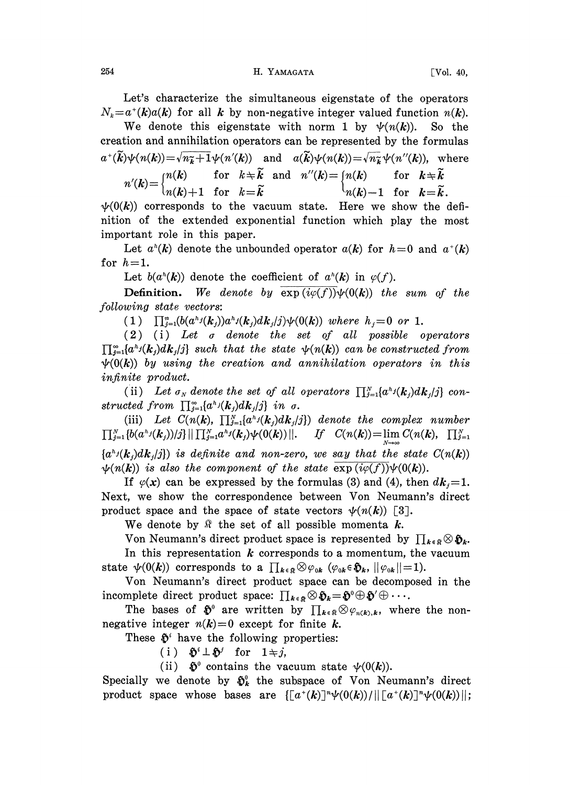Let's characterize the simultaneous eigenstate of the operators  $N_k = a^{\dagger}(k)a(k)$  for all k by non-negative integer valued function  $n(k)$ .

We denote this eigenstate with norm 1 by  $\psi(n(k))$ . So the creation and annihilation operators can be represented by the formulas  $a^{\dagger}(\widetilde{k})\psi(n(k))=\sqrt{n_{\widetilde{k}}+1}\psi(n'(k))$  and  $a(\widetilde{k})\psi(n(k))=\sqrt{n_{\widetilde{k}}}\psi(n''(k))$ , where  $\begin{array}{lll} \n\text{if} \quad k\neq \widetilde{k} \quad \text{and} & \text{n}''(k)=\begin{cases} \n\text{n}(k) & \text{for} \quad k\neq \widetilde{k} \n\end{cases} \n\end{array}$  $\lim_{n \to \infty} \frac{1}{n(k)+1}$  for  $k=\widetilde{k}$   $\qquad \qquad \lim_{n \to \infty} k=k.$ 

 $\psi(0(k))$  corresponds to the vacuum state. Here we show the definition of the extended exponential function which play the most important role in this paper.

Let  $a^h(k)$  denote the unbounded operator  $a(k)$  for  $h=0$  and  $a^h(k)$ for  $h=1$ .

Let  $b(a^h(k))$  denote the coefficient of  $a^h(k)$  in  $\varphi(f)$ .

**Definition.** We denote by  $\overline{\exp(i\varphi(f))}\psi(0(k))$  the sum of the following state vectors:

(1)  $\prod_{j=1}^{n} (b(a^{h_j}(k_j))a^{h_j}(k_j)dk_j(j)\psi(0(k))$  where  $h_j=0$  or 1.

 $(2)$   $(i)$  Let  $\sigma$  denote the set of all possible operators  $\prod_{i=1}^{\infty} [a^{k_i}(k_i)dk_i]$  such that the state  $\psi(n(k))$  can be constructed from  $\psi(0(k))$  by using the creation and annihilation operators in this infinite product.

(ii) Let  $\sigma_N$  denote the set of all operators  $\prod_{i=1}^N \{a^{k_i}(k_i)dk_i/j\}$  constructed from  $\prod_{j=1}^{\infty} \{a^{h_j}(\mathbf{k}_j) d\mathbf{k}_j / j\}$  in  $\sigma$ .

(iii) Let  $C(n(k), \prod_{j=1}^N \{a^h j(k_j)dk_j/j\})$  denote the complex number  $\prod_{j=1}^N \left\{b(a^k j(k_j))/j\right\} \left\| \prod_{j=1}^N a^k j(k_j) \psi(0(k)) \right\|.$  If  $C(n(k)) = \lim_{N \to \infty} C(n(k), \prod_{j=1}^N N_j)$  ${a<sup>h</sup>/(k<sub>i</sub>)dk<sub>i</sub>/j}$  is definite and non-zero, we say that the state  $C(n(k))$  $\psi(n(k))$  is also the component of the state  $\exp(i\varphi(f))\psi(0(k)).$ 

If  $\varphi(x)$  can be expressed by the formulas (3) and (4), then  $dk_i=1$ . Next, we show the correspondence between Von Neumann's direct product space and the space of state vectors  $\psi(n(k))$  [3].

We denote by  $\Re$  the set of all possible momenta k.

Von Neumann's direct product space is represented by  $\prod_{k\in\mathbb{R}}\otimes\mathfrak{H}_{k}$ . In this representation  $k$  corresponds to a momentum, the vacuum state  $\psi(0(k))$  corresponds to a  $\prod_{k\in\mathbb{R}}\otimes\varphi_{0k}$  ( $\varphi_{0k}\in\mathfrak{H}_k$ ,  $||\varphi_{0k}||=1$ ).

Von Neumann's direct product space can be decomposed in the incomplete direct product space:  $\prod_{k \in \mathbb{R}} \otimes \mathfrak{H}_k = \mathfrak{H}^0 \oplus \mathfrak{H}' \oplus \cdots$ 

The bases of  $\mathfrak{F}^0$  are written by  $\prod_{k\in\mathbb{R}}\otimes\varphi_{n(k),k}$ , where the nonnegative integer  $n(k)=0$  except for finite k.

These  $\mathfrak{D}^i$  have the following properties:

(i)  $\mathfrak{H}^i \perp \mathfrak{H}^j$  for  $1 \neq j$ ,

(ii)  $\mathfrak{D}^0$  contains the vacuum state  $\psi(0(k))$ .

Specially we denote by  $\mathfrak{H}_k^0$  the subspace of Von Neumann's direct product space whose bases are  $\{[a^*(k)]^n\psi(0(k))/\|\big[a^*(k)\big]^n\psi(0(k))\|;$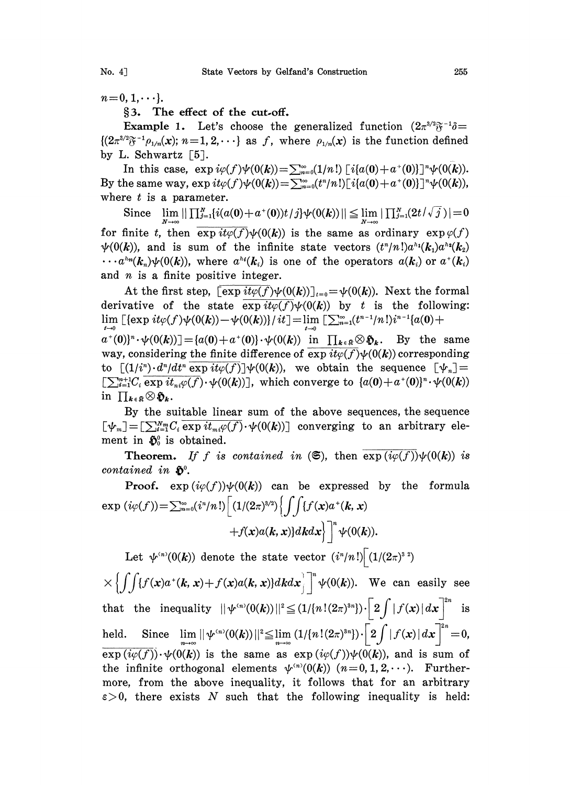$n=0, 1, \dots$ .

3. The effect of the cut.off.

**Example 1.** Let's choose the generalized function  $(2\pi^{3/2}\tilde{\sigma}^{-1}\tilde{\sigma})$  $\{(2\pi^{3/2}\tilde{\sigma}^{-1}\rho_{1/n}(x); n=1,2,\cdots\}$  as f, where  $\rho_{1/n}(x)$  is the function defined by L. Schwartz [5].

In this case,  $\exp i\varphi(f)\psi(0(k)) = \sum_{n=0}^{\infty} (1/n!) [i\{a(0)+a^+(0)\}]^n\psi(0(k)).$ By the same way,  $\exp it\varphi(f)\psi(0(k)) = \sum_{n=0}^{\infty} (t^n/n!) [i\{a(0)+a^+(0)\}]^n \psi(0(k)),$ where  $t$  is a parameter.

Since  $\lim_{N\to\infty} || \prod_{j=1}^N \{i(a(0)+a^+(0))t/j\} \psi(0(k))|| \leqq \lim_{N\to\infty} |\prod_{j=1}^N (2t/\sqrt{j}\,)|=0$ for finite t, then  $\overline{\exp it\varphi(f)}\psi(0(k))$  is the same as ordinary  $\exp \varphi(f)$  $\psi(0(k))$ , and is sum of the infinite state vectors  $(t^n/n!)a^{h_1}(k_1)a^{h_2}(k_2)$  $\cdots a^{h_n}(k_n)\psi(0(k))$ , where  $a^{h_i}(k_i)$  is one of the operators  $a(k_i)$  or  $a^*(k_i)$ and  $n$  is a finite positive integer.

At the first step,  $\overline{\exp it\varphi(f)}\psi(0(k))|_{t=0}=\psi(0(k))$ . Next the formal derivative of the state  $\overline{\exp it\varphi(f)}\psi(0(k))$  by t is the following:  $\lim_{t\to 0}$  [{exp it $\varphi(f)\psi(0(k))-\psi(0(k))$ } / it]  $=\lim_{t\to 0}$  [ $\sum_{n=1}^{\infty}(t^{n-1}/n!)i^{n-1}\{a(0)+$ 

 $a^+(0)^n \cdot \psi(0(k))] = \{a(0)+a^+(0)\} \cdot \psi(0(k))$  in  $\prod_{k \in \Re} \otimes \mathfrak{H}_k$ . By the same way, considering the finite difference of  $\exp it\varphi(f)\psi(0(k))$  corresponding to  $\lceil (1/i^n) \cdot d^n/dt^n \exp i t\varphi(f) \rceil \psi(0(k))$ , we obtain the sequence  $\lceil \psi_n \rceil =$  $\left[\sum_{i=1}^{m+1}C_i\overline{\exp it_{ni}\varphi(f)}\cdot\psi(0(k))\right]$ , which converge to  $\{a(0)+a^+(0)\}^n\cdot\psi(0(k))$ <br>in  $\prod_{k\in\mathbb{R}}\otimes\mathfrak{H}_k$ .

By the suitable linear sum of the above sequences, the sequence  $[\psi_m] = [\sum_{i=1}^{N_m} C_i \overline{\exp it_{mi} \varphi(f)} \cdot \psi(0(k))]$  converging to an arbitrary element in  $\mathfrak{H}_0^0$  is obtained.

**Theorem.** If f is contained in  $(\mathfrak{S})$ , then  $\exp(i\varphi(f))\psi(0(k))$  is contained in  $\mathfrak{D}^0$ .

**Proof.**  $\exp(i\varphi(f))\psi(0(k))$  can be expressed by the formula  $\exp(i\varphi(f)) = \sum_{n=0}^{\infty} (i^{n}/n!) \Big[ (1/(2\pi)^{3/2}) \Big\{ \int \int \{ f(x)a^{+}(k, x) + f(x)a(k, x) \} dk dx \Big\}^n \Big]^n \psi(0(k)).$ 

Let  $\psi^{(n)}(0(k))$  denote the state vector  $(i^{n}/n!) \left[(1/(2\pi)^{3})\right]$ 

 $\times \left\{\int\int\{f(x)a^{\dagger}(k, x)+f(x)a(k, x)\}dkdx\right\}^n \psi(0(k)).$  We can easily see that the inequality  $|| \psi^{(n)}(0(k)) ||^2 \leq (1/[n!(2\pi)^{3n}]) \cdot [2\int |f(x)| dx]^{2n}$  is held. Since  $\lim_{n\to\infty} ||\psi^{(n)}(0(k))||^2 \leq \lim_{n\to\infty} (1/[n!(2\pi)^{3n}]) \cdot \left[2\int |f(x)| dx\right]^{2n} = 0,$  $\exp(i\varphi(f))\cdot\psi(0(k))$  is the same as  $\exp(i\varphi(f))\psi(0(k))$ , and is sum of the infinite orthogonal elements  $\psi^{(n)}(0(k))$  ( $n=0,1,2,\cdots$ ). Furthermore, from the above inequality, it follows that for an arbitrary  $\varepsilon > 0$ , there exists N such that the following inequality is held: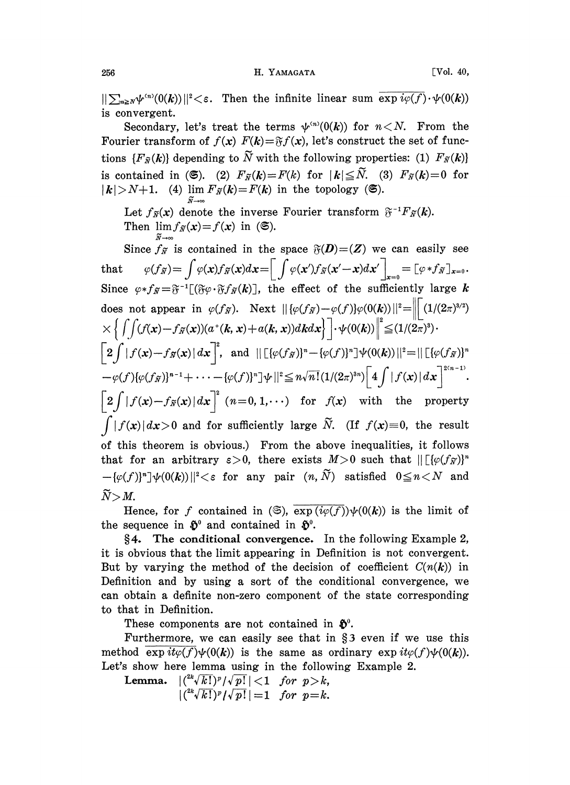$||\sum_{n\geq N}\psi^{(n)}(0(k))||^2<\varepsilon$ . Then the infinite linear sum  $\overline{\exp i\varphi(f)}\cdot\psi(0(k))$ is convergent.

Secondary, let's treat the terms  $\psi^{(n)}(0(k))$  for  $n < N$ . From the Fourier transform of  $f(x) F(k) = \mathfrak{F}f(x)$ , let's construct the set of functions  ${F_{\tilde{N}}(k)}$  depending to  $\tilde{N}$  with the following properties: (1)  $F_{\tilde{N}}(k)$ is contained in (6). (2)  $F_{\tilde{N}}(k)=F(k)$  for  $|k|\leq \tilde{N}$ . (3)  $F_{\tilde{N}}(k)=0$  for  $|k| > N+1$ . (4)  $\lim_{k \to \infty} F_{\tilde{N}}(k) = F(k)$  in the topology (6).

Let  $f_{\widetilde{N}}(x)$  denote the inverse Fourier transform  $\widetilde{v}^{-1}F_{\widetilde{N}}(k)$ . Then  $\lim_{\tilde{N}\to\infty}f_{\tilde{N}}(x)=f(x)$  in (S).

Since  $f_{\widetilde{\mathcal{N}}}$  is contained in the space  $\mathfrak{F}(D)=(Z)$  we can easily see that  $\varphi(f_{\widetilde{N}}) = \int \varphi(x)f_{\widetilde{N}}(x)dx = \left[ \int \varphi(x')f_{\widetilde{N}}(x'-x)dx' \right]_{x=0} = \left[ \varphi * f_{\widetilde{N}} \right]_{x=0}.$ Since  $\varphi * f_{\widetilde{N}} = \widetilde{\sigma}^{-1}[(\widetilde{\sigma}\varphi \cdot \widetilde{\sigma} f_{\widetilde{N}}(k))]$ , the effect of the sufficiently large k does not appear in  $\varphi(f_{\widetilde{N}})$ . Next  $\|\{\varphi(f_{\widetilde{N}}) - \varphi(f)\} \varphi(0(k))\|^2 = \left\| \|(1/(2\pi)^{3/2})\right\|$  $\times \Big\{\int\!\!\int\! (f(\pmb{x})-f_{\widetilde{\pmb{x}}}(\pmb{x}))(a^*(\pmb{k},\pmb{x})+a(\pmb{k},\pmb{x}))d\pmb{k}d\pmb{x}\Big\}^{-1}\!\!\cdot\!\psi(0(\pmb{k}))\Big\|^2\!\leq\!(1/(2\pi)^3)\cdot$  $\left\lceil 2\int\left|f(\boldsymbol{x})-f_{\widetilde{N}}(\boldsymbol{x})\right|d\boldsymbol{x}\right\rceil^2\!,\;\;\text{and}\;\; \left\lVert\left[\left\{\varphi(f_{\widetilde{N}})^{\ast}\!-\!\{\varphi(f)\}^n\right]\! \psi(0(\boldsymbol{k}))\right\rVert^2\!=\! \left\lVert\left[\left\{\varphi(f_{\widetilde{N}})\right\}^n\right]\right.$  $-\varphi(f)\{\varphi(f_{\widetilde{N}})\}^{n-1}+\cdots- \{\varphi(f)\}^n]\psi||^2\leq n\sqrt{n!}(1/(2\pi)^{3n})\left\lceil 4\int|f(x)|\,dx\right\rceil^{2(n-1)}.$  $\left\lceil 2 \int |f(x)-f_{\widetilde{N}}(x)| dx \right\rceil^2$   $(n=0, 1, \cdots)$  for  $f(x)$  with the property  $\int |f(x)| dx > 0$  and for sufficiently large  $\widetilde{N}$ . (If  $f(x)=0$ , the result of this theorem is obvious.) From the above inequalities, it follows that for an arbitrary  $\varepsilon > 0$ , there exists  $M > 0$  such that  $\left\| \left[ \{\varphi(f_{\widetilde{N}})\} \right]^n \right\|$  $-\{\varphi(f)\}^n \psi(0(k))\|^2 < \varepsilon$  for any pair  $(n, \tilde{N})$  satisfied  $0 \le n < N$  and  $\widetilde{N} > M$ .

Hence, for f contained in  $(\mathfrak{S})$ ,  $\overline{\exp(i\varphi(f))}\psi(0(k))$  is the limit of the sequence in  $\mathfrak{D}^0$  and contained in  $\mathfrak{D}^0$ .

4. The conditional convergence. In the following Example 2, it is obvious that the limit appearing in Definition is not convergent. But by varying the method of the decision of coefficient  $C(n(k))$  in Definition and by using a sort of the conditional convergence, we can obtain a definite non-zero component of the state corresponding to that in Definition.

These components are not contained in  $\mathfrak{F}^0$ .

Furthermore, we can easily see that in  $\S$ 3 even if we use this method  $\exp it\varphi(f)\psi(0(k))$  is the same as ordinary  $\exp it\varphi(f)\psi(0(k)).$ Let's show here lemma using in the following Example 2.

**Lemma.**  $|({}^{2k}\sqrt{k!})^p/\sqrt{p!}| < 1$  for  $p > k$ ,  $|({}^{2k}\sqrt{k!})^p/{\sqrt{p!}}| = 1$  for  $p = k$ .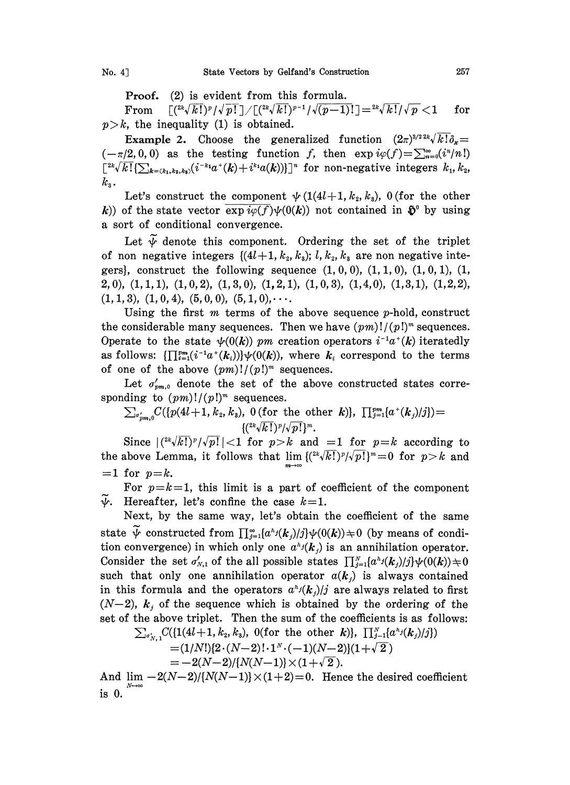Proof. (2) is evident from this formula.

From  $\left[({2k\sqrt{k!}})^p/{\sqrt{p!}}\right] / \left[({2k\sqrt{k!}})^{p-1}/{\sqrt{(p-1)!}}\right] = {2k\sqrt{k!}}/{\sqrt{p}} < 1$  $p > k$ , the inequality (1) is obtained.

 $\begin{align} \mathbb{I} =& {}^{2k}\!\sqrt{k!}/\sqrt{p} < 1 \quad \text{for} \ \ \text{action} \quad & (2\pi)^{3/2\,2k}\!\sqrt{k!}\delta_x = \ \exp i\varphi(f) =& \sum_{n=0}^{\infty} (i^n/n!) \end{align}$ **Example 2.** Choose the generalized function  $(2\pi)^{3/2} \lambda k! \delta_x =$  $(-\pi/2,0,0)$  as the testing function f, then  $\exp i\varphi(f)=\sum_{n=0}^{\infty}(i^n/n!)$  $\left[2k\sqrt{k!}\{\sum_{k=(k_1,k_2,k_3)}(i^{-k_1}a^+(k)+i^{k_1}a(k))\}\right]^n$  for non-negative integers  $k_1, k_2,$  $k_{3}$ .

Let's construct the component  $\psi(1(4l+1, k_2, k_3), 0)$  (for the other k)) of the state vector  $\exp i\varphi(f)\psi(0(k))$  not contained in  $\mathfrak{H}^0$  by using a sort of conditional convergence.

Let  $\widetilde{\psi}$  denote this component. Ordering the set of the triplet of non negative integers  $\{(4l+1, k_2, k_3); l, k_2, k_3 \text{ are non negative inte-} \}$ gers}, construct the following sequence  $(1, 0, 0)$ ,  $(1, 1, 0)$ ,  $(1, 0, 1)$ ,  $(1, 0, 1)$  $(2,0)$ ,  $(1,1,1)$ ,  $(1,0,2)$ ,  $(1,3,0)$ ,  $(1,2,1)$ ,  $(1,0,3)$ ,  $(1,4,0)$ ,  $(1,3,1)$ ,  $(1,2,2)$ ,  $(1, 1, 3), (1, 0, 4), (5, 0, 0), (5, 1, 0), \cdots$ 

Using the first  $m$  terms of the above sequence  $p$ -hold, construct the considerable many sequences. Then we have  $(pm)!/(p!)^m$  sequences. Operate to the state  $\psi(0(k))$  pm creation operators  $i^{-1}a^{+}(k)$  iteratedly as follows:  $\{\prod_{i=1}^{pm}(i^{-1}a^*(k_i))\}\psi(0(k))$ , where  $k_i$  correspond to the terms of one of the above  $(pm)!/(p!)^m$  sequences.

Let  $\sigma'_{nm,0}$  denote the set of the above constructed states corresponding to  $(pm)!/(p!)^m$  sequences.

 $\sum_{\sigma'_{nm,0}} C({p(4l+1, k_2, k_3), 0}$  (for the other k),  $\prod_{j=1}^{pm} [a^+(k_j)/j])=$  $\{({}^{2k}\sqrt{k!})^p/{\sqrt{p!}}\}^m.$ 

Since  $\left| \binom{2k\sqrt{k!}}{p} / \sqrt{p!} \right| < 1$  for  $p > k$  and  $= 1$  for  $p = k$  according to the above Lemma, it follows that  $\lim \frac{({}^{2k}\sqrt{k!})^p}{\sqrt{p!}}=0$  for  $p>k$  and  $=1$  for  $p=k$ .

For  $p=k=1$ , this limit is a part of coefficient of the component  $\psi$ . Hereafter, let's confine the case  $k=1$ .

Next, by the same way, let's obtain the coefficient of the same state  $\widetilde{\psi}$  constructed from  $\prod_{i=1}^{\infty} \{a^{k_i}(k_i)/i\} \psi(0(k)) \neq 0$  (by means of condition convergence) in which only one  $a^{h_j}(k)$  is an annihilation operator. Consider the set  $\sigma'_{N,1}$  of the all possible states  $\prod_{j=1}^{N}(\alpha^{k_j}(k_j)/j)\psi(0(k))\neq 0$ such that only one annihilation operator  $a(k_i)$  is always contained in this formula and the operators  $a^{h_j}(k_j)/j$  are always related to first  $(N-2)$ ,  $k_j$  of the sequence which is obtained by the ordering of the set of the above triplet. Then the sum of the coefficients is as follows:

$$
\begin{array}{l} \sum_{\sigma'_{N,\,1}} C(\{1(4l+1,\,k_{2},k_{3}),\,\,0(\text{for the other}\,\,k)\},\,\,\prod_{j=1}^{N}\{a^{\hbar_{j}}(k_{j})/j\}) \\ = (1/N!)[2\cdot(N-2)\,! \cdot 1^{N}\cdot(-1)(N-2)](1+\sqrt{2}) \end{array}
$$

$$
=-2(N-2)/[N(N-1)]\times(1+\sqrt{2}).
$$

And  $\lim_{M} -2(N-2)/[N(N-1)] \times (1+2)=0$ . Hence the desired coefficient is 0.